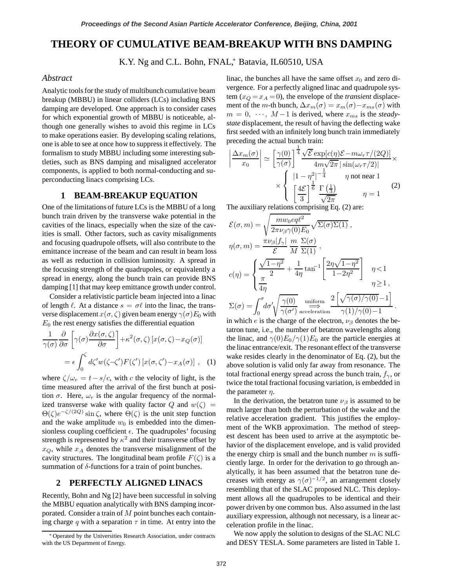# **THEORY OF CUMULATIVE BEAM-BREAKUP WITH BNS DAMPING**

K.Y. Ng and C.L. Bohn, FNAL,\* Batavia, IL60510, USA

### *Abstract*

Analytic tools for the study of multibunch cumulative beam breakup (MBBU) in linear colliders (LCs) including BNS damping are developed. One approach is to consider cases for which exponential growth of MBBU is noticeable, although one generally wishes to avoid this regime in LCs to make operations easier. By developing scaling relations, one is able to see at once how to suppress it effectively. The formalism to study MBBU including some interesting subtleties, such as BNS damping and misaligned accelerator components, is applied to both normal-conducting and superconducting linacs comprising LCs.

# **1 BEAM-BREAKUP EQUATION**

One of the limitations of future LCs is the MBBU of a long bunch train driven by the transverse wake potential in the cavities of the linacs, especially when the size of the cavities is small. Other factors, such as cavity misalignments and focusing quadrupole offsets, will also contribute to the emittance increase of the beam and can result in beam loss as well as reduction in collision luminosity. A spread in the focusing strength of the quadrupoles, or equivalently a spread in energy, along the bunch train can provide BNS damping [1] that may keep emittance growth under control.

Consider a relativistic particle beam injected into a linac of length  $\ell$ . At a distance  $s = \sigma \ell$  into the linac, the transverse displacement  $x(\sigma, \zeta)$  given beam energy  $\gamma(\sigma)E_0$  with  $E_0$  the rest energy satisfies the differential equation

$$
\frac{1}{\gamma(\sigma)} \frac{\partial}{\partial \sigma} \left[ \gamma(\sigma) \frac{\partial x(\sigma, \zeta)}{\partial \sigma} \right] + \kappa^2(\sigma, \zeta) \left[ x(\sigma, \zeta) - x_Q(\sigma) \right]
$$

$$
= \epsilon \int_0^{\zeta} d\zeta' w(\zeta - \zeta') F(\zeta') \left[ x(\sigma, \zeta') - x_A(\sigma) \right], \quad (1)
$$

where  $\zeta/\omega_r = t - s/c$ , with c the velocity of light, is the time measured after the arrival of the first bunch at position  $\sigma$ . Here,  $\omega_r$  is the angular frequency of the normalized transverse wake with quality factor Q and  $w(\zeta)$  =  $\Theta(\zeta)e^{-\zeta/(2Q)}\sin\zeta$ , where  $\Theta(\zeta)$  is the unit step function and the wake amplitude  $w_0$  is embedded into the dimensionless coupling coefficient  $\epsilon$ . The quadrupoles' focusing strength is represented by  $\kappa^2$  and their transverse offset by  $x_Q$ , while  $x_A$  denotes the transverse misalignment of the cavity structures. The longitudinal beam profile  $F(\zeta)$  is a summation of  $\delta$ -functions for a train of point bunches.

### **2 PERFECTLY ALIGNED LINACS**

Recently, Bohn and Ng [2] have been successful in solving the MBBU equation analytically with BNS damping incorporated. Consider a train of M point bunches each containing charge q with a separation  $\tau$  in time. At entry into the

linac, the bunches all have the same offset  $x_0$  and zero divergence. For a perfectly aligned linac and quadrupole system  $(x_Q = x_A = 0)$ , the envelope of the *transient* displacement of the *m*-th bunch,  $\Delta x_m(\sigma) = x_m(\sigma) - x_{ms}(\sigma)$  with  $m = 0, \dots, M-1$  is derived, where  $x_{ms}$  is the *steadystate* displacement, the result of having the deflecting wake first seeded with an infinitely long bunch train immediately preceding the actual bunch train:

$$
\left| \frac{\Delta x_m(\sigma)}{x_0} \right| \simeq \left[ \frac{\gamma(0)}{\gamma(\sigma)} \right]^{\frac{1}{4}} \frac{\sqrt{\mathcal{E}} \exp[c(\eta)\mathcal{E} - m\omega_r \tau/(2Q)]}{4m\sqrt{2\pi} |\sin(\omega_r \tau/2)|} \times \left\{ \begin{array}{l} |1 - \eta^2|^{-\frac{1}{4}} & \eta \text{ not near } 1 \\ \left[ \frac{4\mathcal{E}}{3} \right]^{\frac{1}{6}} \frac{\Gamma(\frac{1}{3})}{\sqrt{2\pi}} & \eta = 1 \end{array} \right. \tag{2}
$$

The auxiliary relations comprising Eq. (2) are:

$$
\mathcal{E}(\sigma, m) = \sqrt{\frac{m w_0 e q \ell^2}{2 \pi \nu_\beta \gamma(0) E_0}} \sqrt{\Sigma(\sigma) \Sigma(1)},
$$
  
\n
$$
\eta(\sigma, m) = \frac{\pi \nu_\beta |f_\gamma|}{\mathcal{E}} \frac{m}{M} \frac{\Sigma(\sigma)}{\Sigma(1)},
$$
  
\n
$$
c(\eta) = \begin{cases}\n\frac{\sqrt{1 - \eta^2}}{\pi} + \frac{1}{4\eta} \tan^{-1} \left[ \frac{2\eta \sqrt{1 - \eta^2}}{1 - 2\eta^2} \right] & \eta < 1 \\
\frac{\pi}{4\eta} & \eta \ge 1, \\
\Sigma(\sigma) = \int_0^\sigma d\sigma' \sqrt{\frac{\gamma(0)}{\gamma(\sigma')}} e^{\frac{\text{uniform}}{\pi} \frac{2}{\pi} \left[ \sqrt{\gamma(\sigma)/\gamma(0)} - 1 \right]} \cdot \frac{\gamma(1)/\gamma(0) - 1}{\gamma(1)/\gamma(0) - 1}.\n\end{cases}
$$

in which e is the charge of the electron,  $\nu_\beta$  denotes the betatron tune, i.e., the number of betatron wavelengths along the linac, and  $\gamma(0)E_0/\gamma(1)E_0$  are the particle energies at the linac entrance/exit. The resonant effect of the transverse wake resides clearly in the denominator of Eq. (2), but the above solution is valid only far away from resonance. The total fractional energy spread across the bunch train,  $f_{\gamma}$ , or twice the total fractional focusing variation, is embedded in the parameter  $\eta$ .

In the derivation, the betatron tune  $\nu_\beta$  is assumed to be much larger than both the perturbation of the wake and the relative acceleration gradient. This justifies the employment of the WKB approximation. The method of steepest descent has been used to arrive at the asymptotic behavior of the displacement envelope, and is valid provided the energy chirp is small and the bunch number  $m$  is sufficiently large. In order for the derivation to go through analytically, it has been assumed that the betatron tune decreases with energy as  $\gamma(\sigma)^{-1/2}$ , an arrangement closely resembling that of the SLAC proposed NLC. This deployment allows all the quadrupoles to be identical and their power driven by one common bus. Also assumed in the last auxiliary expression, although not necessary, is a linear acceleration profile in the linac.

We now apply the solution to designs of the SLAC NLC and DESY TESLA. Some parameters are listed in Table 1.

<sup>∗</sup> Operated by the Universities Research Association, under contracts with the US Department of Energy.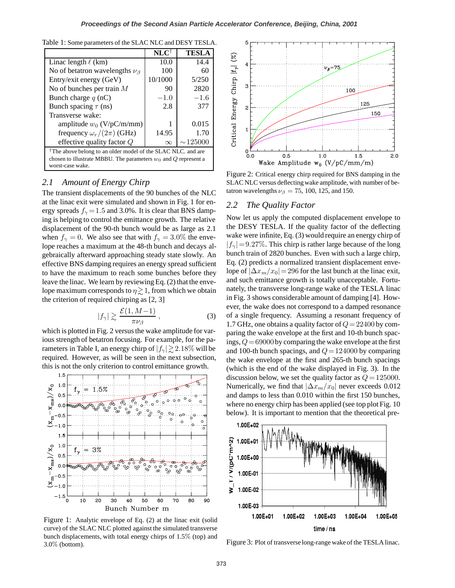| Table 1: Some parameters of the SLAC NLC and DESY TESLA. |  |  |  |  |  |  |  |  |  |  |
|----------------------------------------------------------|--|--|--|--|--|--|--|--|--|--|
|----------------------------------------------------------|--|--|--|--|--|--|--|--|--|--|

|                                                                                                                                                                   | $\mathbf{NLC}^{\dagger}$ | <b>TESLA</b>  |  |  |  |  |
|-------------------------------------------------------------------------------------------------------------------------------------------------------------------|--------------------------|---------------|--|--|--|--|
| Linac length $\ell$ (km)                                                                                                                                          | 10.0                     | 14.4          |  |  |  |  |
| No of betatron wavelengths $\nu_{\beta}$                                                                                                                          | 100                      | 60            |  |  |  |  |
| Entry/exit energy (GeV)                                                                                                                                           | 10/1000                  | 5/250         |  |  |  |  |
| No of bunches per train $M$                                                                                                                                       | 90                       | 2820          |  |  |  |  |
| Bunch charge $q$ (nC)                                                                                                                                             | $-1.0$                   | $-1.6$        |  |  |  |  |
| Bunch spacing $\tau$ (ns)                                                                                                                                         | 2.8                      | 377           |  |  |  |  |
| Transverse wake:                                                                                                                                                  |                          |               |  |  |  |  |
| amplitude $w_0$ (V/pC/m/mm)                                                                                                                                       |                          | 0.015         |  |  |  |  |
| frequency $\omega_r/(2\pi)$ (GHz)                                                                                                                                 | 14.95                    | 1.70          |  |  |  |  |
| effective quality factor $Q$                                                                                                                                      | $\infty$                 | $\sim$ 125000 |  |  |  |  |
| <sup>†</sup> The above belong to an older model of the SLAC NLC. and are<br>chosen to illustrate MBBU. The parameters $w_0$ and Q represent a<br>worst-case wake. |                          |               |  |  |  |  |

## *2.1 Amount of Energy Chirp*

The transient displacements of the 90 bunches of the NLC at the linac exit were simulated and shown in Fig. 1 for energy spreads  $f_{\gamma} = 1.5$  and 3.0%. It is clear that BNS damping is helping to control the emittance growth. The relative displacement of the 90-th bunch would be as large as 2.1 when  $f_{\gamma} = 0$ . We also see that with  $f_{\gamma} = 3.0\%$  the envelope reaches a maximum at the 48-th bunch and decays algebraically afterward approaching steady state slowly. An effective BNS damping requires an energy spread sufficient to have the maximum to reach some bunches before they leave the linac. We learn by reviewing Eq. (2) that the envelope maximum corresponds to  $\eta \geq 1$ , from which we obtain the criterion of required chirping as [2, 3]

$$
|f_{\gamma}| \gtrsim \frac{\mathcal{E}(1, M-1)}{\pi \nu_{\beta}}\,,\tag{3}
$$

which is plotted in Fig. 2 versus the wake amplitude for various strength of betatron focusing. For example, for the parameters in Table I, an energy chirp of  $|f_{\gamma}| \gtrsim 2.18\%$  will be required. However, as will be seen in the next subsection, this is not the only criterion to control emittance growth.



Figure 1: Analytic envelope of Eq. (2) at the linac exit (solid curve) of the SLAC NLC plotted against the simulated transverse bunch displacements, with total energy chirps of 1.5% (top) and 3.0% (bottom).



Figure 2: Critical energy chirp required for BNS damping in the SLAC NLC versus deflecting wake amplitude, with number of betatron wavelengths  $\nu_\beta = 75$ , 100, 125, and 150.

#### *2.2 The Quality Factor*

Now let us apply the computed displacement envelope to the DESY TESLA. If the quality factor of the deflecting wake were infinite, Eq. (3) would require an energy chirp of  $|f_\gamma|$  = 9.27%. This chirp is rather large because of the long bunch train of 2820 bunches. Even with such a large chirp, Eq. (2) predicts a normalized transient displacement envelope of  $|\Delta x_m/x_0|$  = 296 for the last bunch at the linac exit, and such emittance growth is totally unacceptable. Fortunately, the transverse long-range wake of the TESLA linac in Fig. 3 shows considerable amount of damping [4]. However, the wake does not correspond to a damped resonance of a single frequency. Assuming a resonant frequency of 1.7 GHz, one obtains a quality factor of  $Q = 22400$  by comparing the wake envelope at the first and 10-th bunch spacings,  $Q = 69000$  by comparing the wake envelope at the first and 100-th bunch spacings, and  $Q = 124000$  by comparing the wake envelope at the first and 265-th bunch spacings (which is the end of the wake displayed in Fig. 3). In the discussion below, we set the quality factor as  $Q = 125000$ . Numerically, we find that  $|\Delta x_m/x_0|$  never exceeds 0.012 and damps to less than 0.010 within the first 150 bunches, where no energy chirp has been applied (see top plot Fig. 10 below). It is important to mention that the theoretical pre-



Figure 3: Plot of transverselong-range wake of the TESLA linac.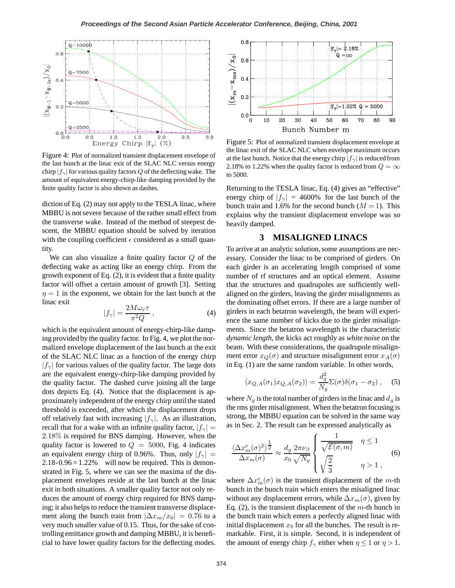

Figure 4: Plot of normalized transient displacement envelope of the last bunch at the linac exit of the SLAC NLC versus energy chirp  $|f_\gamma|$  for various quality factors Q of the deflecting wake. The amount of equivalent energy-chirp-like damping provided by the finite quality factor is also shown as dashes.

diction of Eq. (2) may not apply to the TESLA linac, where MBBU is not severe because of the rather small effect from the transverse wake. Instead of the method of steepest descent, the MBBU equation should be solved by iteration with the coupling coefficient  $\epsilon$  considered as a small quantity.

We can also visualize a finite quality factor  $Q$  of the deflecting wake as acting like an energy chirp. From the growth exponent of Eq. (2), it is evident that a finite quality factor will offset a certain amount of growth [3]. Setting  $\eta = 1$  in the exponent, we obtain for the last bunch at the linac exit

$$
|f_{\gamma}| = \frac{2M\omega_r \tau}{\pi^2 Q} , \qquad (4)
$$

which is the equivalent amount of energy-chirp-like damping provided by the quality factor. In Fig. 4, we plot the normalized envelope displacement of the last bunch at the exit of the SLAC NLC linac as a function of the energy chirp  $|f_\gamma|$  for various values of the quality factor. The large dots are the equivalent energy-chirp-like damping provided by the quality factor. The dashed curve joining all the large dots depicts Eq. (4). Notice that the displacement is approximately independent of the energy chirp until the stated threshold is exceeded, after which the displacement drops off relatively fast with increasing  $|f_\gamma|$ . As an illustration, recall that for a wake with an infinite quality factor,  $|f_{\gamma}|$  = 2.18% is required for BNS damping. However, when the quality factor is lowered to  $Q = 5000$ , Fig. 4 indicates an equivalent energy chirp of 0.96%. Thus, only  $|f_{\gamma}|$  =  $2.18 - 0.96 = 1.22\%$  will now be required. This is demonstrated in Fig. 5, where we can see the maxima of the displacement envelopes reside at the last bunch at the linac exit in both situations. A smaller quality factor not only reduces the amount of energy chirp required for BNS damping; it also helps to reduce the transient transverse displacement along the bunch train from  $|\Delta x_m/x_0| = 0.76$  to a very much smaller value of 0.15. Thus, for the sake of controlling emittance growth and damping MBBU, it is beneficial to have lower quality factors for the deflecting modes.



Figure 5: Plot of normalized transient displacement envelope at the linac exit of the SLAC NLC when envelope maximum occurs at the last bunch. Notice that the energy chirp  $|f_\gamma|$  is reduced from 2.18% to 1.22% when the quality factor is reduced from  $Q = \infty$ to 5000.

Returning to the TESLA linac, Eq. (4) gives an "effective" energy chirp of  $|f_\gamma| = 4600\%$  for the last bunch of the bunch train and 1.6% for the second bunch  $(M = 1)$ . This explains why the transient displacement envelope was so heavily damped.

#### **3 MISALIGNED LINACS**

To arrive at an analytic solution, some assumptions are necessary. Consider the linac to be comprised of girders. On each girder is an accelerating length comprised of some number of rf structures and an optical element. Assume that the structures and quadrupoles are sufficiently wellaligned on the girders, leaving the girder misalignments as the dominating offset errors. If there are a large number of girders in each betatron wavelength, the beam will experience the same number of kicks due to the girder misalignments. Since the betatron wavelength is the characteristic *dynamic length*, the kicks act roughly as *white noise* on the beam. With these considerations, the quadrupole misalignment error  $x_Q(\sigma)$  and structure misalignment error  $x_A(\sigma)$ in Eq. (1) are the same random variable. In other words,

$$
\langle x_{Q,A}(\sigma_1)x_{Q,A}(\sigma_2) \rangle = \frac{d_g^2}{N_g} \Sigma(\sigma) \delta(\sigma_1 - \sigma_2) , \quad (5)
$$

where  $N_g$  is the total number of girders in the linac and  $d_g$  is the rms girder misalignment. When the betatron focusing is strong, the MBBU equation can be solved in the same way as in Sec. 2. The result can be expressed analytically as

$$
\frac{\langle \Delta x_m^e(\sigma)^2 \rangle^{\frac{1}{2}}}{\Delta x_m(\sigma)} \approx \frac{d_g}{x_0} \frac{2\pi\nu_\beta}{\sqrt{N_g}} \begin{cases} \frac{1}{\sqrt{\mathcal{E}(\sigma, m)}} & \eta \le 1\\ \sqrt{\frac{2}{3}} & \eta > 1 \end{cases} \tag{6}
$$

where  $\Delta x_m^e(\sigma)$  is the transient displacement of the m-th bunch in the bunch train which enters the misaligned linac without any displacement errors, while  $\Delta x_m(\sigma)$ , given by Eq. (2), is the transient displacement of the  $m$ -th bunch in the bunch train which enters a perfectly aligned linac with initial displacement  $x_0$  for all the bunches. The result is remarkable. First, it is simple. Second, it is independent of the amount of energy chirp  $f_{\gamma}$  either when  $\eta \leq 1$  or  $\eta > 1$ .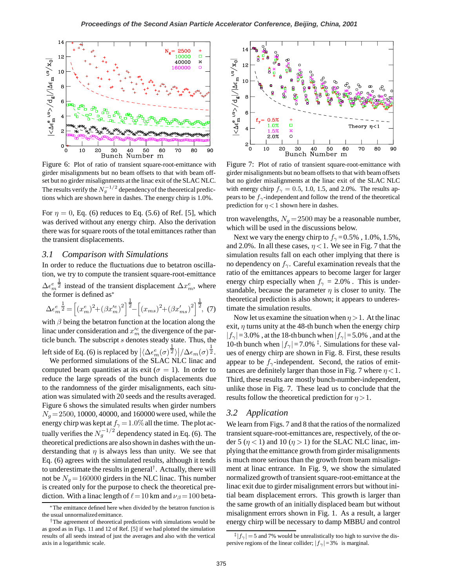

Figure 6: Plot of ratio of transient square-root-emittance with girder misalignments but no beam offsets to that with beam offset but no girder misalignments at the linac exit of the SLAC NLC. The results verify the  $N_g^{-1/2}$  dependency of the theoretical predictions which are shown here in dashes. The energy chirp is 1.0%.

For  $\eta = 0$ , Eq. (6) reduces to Eq. (5.6) of Ref. [5], which was derived without any energy chirp. Also the derivation there was for square roots of the total emittances rather than the transient displacements.

#### *3.1 Comparison with Simulations*

In order to reduce the fluctuations due to betatron oscillation, we try to compute the transient square-root-emittance  $\Delta \epsilon_m^e$  $\frac{1}{2}$  instead of the transient displacement  $\Delta x_m^e$ , where the former is defined as<sup>∗</sup>

$$
\Delta \epsilon_m^e \frac{1}{2} = \left[ (x_m^e)^2 + (\beta x_m^{\prime e})^2 \right]^{\frac{1}{2}} - \left[ (x_{ms})^2 + (\beta x_{ms}^{\prime e})^2 \right]^{\frac{1}{2}},
$$
 (7)

with  $\beta$  being the betatron function at the location along the linac under consideration and  $x_m^{\prime e}$  the divergence of the particle bunch. The subscript s denotes steady state. Thus, the

left side of Eq. (6) is replaced by  $\left| \langle \Delta \epsilon_m^e(\sigma) \frac{1}{2} \rangle \right| / \Delta \epsilon_m(\sigma) \frac{1}{2}$ . We performed simulations of the SLAC NLC linac and

computed beam quantities at its exit ( $\sigma = 1$ ). In order to reduce the large spreads of the bunch displacements due to the randomness of the girder misalignments, each situation was simulated with 20 seeds and the results averaged. Figure 6 shows the simulated results when girder numbers  $N_g = 2500$ , 10000, 40000, and 160000 were used, while the energy chirp was kept at  $f_{\gamma} = 1.0\%$  all the time. The plot actually verifies the  $N_g^{-1/2}$  dependency stated in Eq. (6). The theoretical predictions are also shown in dashes with the understanding that  $\eta$  is always less than unity. We see that Eq. (6) agrees with the simulated results, although it tends to underestimate the results in general†. Actually, there will not be  $N<sub>g</sub> = 160000$  girders in the NLC linac. This number is created only for the purpose to check the theoretical prediction. With a linac length of  $\ell = 10$  km and  $\nu_{\beta} = 100$  beta-



Figure 7: Plot of ratio of transient square-root-emittance with girder misalignments but no beam offsets to that with beam offsets but no girder misalignments at the linac exit of the SLAC NLC with energy chirp  $f_{\gamma} = 0.5, 1.0, 1.5,$  and 2.0%. The results appears to be  $f_{\gamma}$ -independent and follow the trend of the theoretical prediction for  $\eta$  < 1 shown here in dashes.

tron wavelengths,  $N_g = 2500$  may be a reasonable number, which will be used in the discussions below.

Next we vary the energy chirp to  $f_{\gamma} = 0.5\%$ , 1.0%, 1.5%, and 2.0%. In all these cases,  $\eta$  < 1. We see in Fig. 7 that the simulation results fall on each other implying that there is no dependency on  $f_{\gamma}$ . Careful examination reveals that the ratio of the emittances appears to become larger for larger energy chirp especially when  $f_{\gamma} = 2.0\%$ . This is understandable, because the parameter  $\eta$  is closer to unity. The theoretical prediction is also shown; it appears to underestimate the simulation results.

Now let us examine the situation when  $\eta > 1$ . At the linac exit,  $\eta$  turns unity at the 48-th bunch when the energy chirp  $|f_\gamma|$ =3.0%, at the 18-th bunch when  $|f_\gamma|$ =5.0%, and at the 10-th bunch when  $|f_\gamma|=7.0\%$ <sup>‡</sup>. Simulations for these values of energy chirp are shown in Fig. 8. First, these results appear to be  $f_{\gamma}$ -independent. Second, the ratios of emittances are definitely larger than those in Fig. 7 where  $\eta$  < 1. Third, these results are mostly bunch-number-independent, unlike those in Fig. 7. These lead us to conclude that the results follow the theoretical prediction for  $\eta > 1$ .

#### *3.2 Application*

We learn from Figs. 7 and 8 that the ratios of the normalized transient square-root-emittances are, respectively, of the order 5 ( $\eta$  < 1) and 10 ( $\eta$  > 1) for the SLAC NLC linac, implying that the emittance growth from girder misalignments is much more serious than the growth from beam misalignment at linac entrance. In Fig. 9, we show the simulated normalized growth of transient square-root-emittance at the linac exit due to girder misalignment errors but without initial beam displacement errors. This growth is larger than the same growth of an initially displaced beam but without misalignment errors shown in Fig. 1. As a result, a larger energy chirp will be necessary to damp MBBU and control

<sup>∗</sup>The emittance defined here when divided by the betatron function is the usual unnormalized emittance.

<sup>†</sup>The agreement of theoretical predictions with simulations would be as good as in Figs. 11 and 12 of Ref. [5] if we had plotted the simulation results of all seeds instead of just the averages and also with the vertical axis in a logarithmic scale.

 $\frac{1}{2} |f_{\gamma}| = 5$  and 7% would be unrealistically too high to survive the dispersive regions of the linear collider;  $|f_\gamma|=3\%$  is marginal.